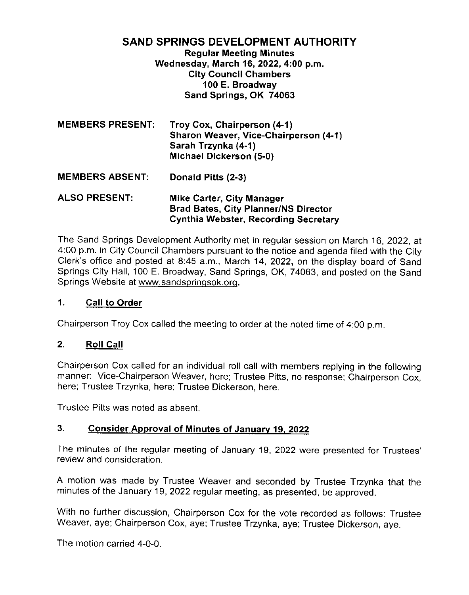# **SAND SPRINGS DEVELOPMENT AUTHORITY**

**Regular Meeting Minutes** Wednesday, March 16, 2022, 4:00 p.m. **City Council Chambers** 100 E. Broadway Sand Springs, OK 74063

| <b>MEMBERS PRESENT:</b> | Troy Cox, Chairperson (4-1)<br>Sharon Weaver, Vice-Chairperson (4-1)<br>Sarah Trzynka (4-1)<br>Michael Dickerson (5-0) |
|-------------------------|------------------------------------------------------------------------------------------------------------------------|
| <b>MEMBERS ABSENT:</b>  | Donald Pitts (2-3)                                                                                                     |

**ALSO PRESENT: Mike Carter, City Manager Brad Bates, City Planner/NS Director** Cynthia Webster, Recording Secretary

The Sand Springs Development Authority met in regular session on March 16, 2022, at 4:00 p.m. in City Council Chambers pursuant to the notice and agenda filed with the City Clerk's office and posted at 8:45 a.m., March 14, 2022, on the display board of Sand Springs City Hall, 100 E. Broadway, Sand Springs, OK, 74063, and posted on the Sand Springs Website at www.sandspringsok.org.

## $1.$ **Call to Order**

Chairperson Troy Cox called the meeting to order at the noted time of 4:00 p.m.

# $2.$ **Roll Call**

Chairperson Cox called for an individual roll call with members replying in the following manner: Vice-Chairperson Weaver, here; Trustee Pitts, no response; Chairperson Cox, here; Trustee Trzynka, here; Trustee Dickerson, here.

Trustee Pitts was noted as absent.

# $3<sub>l</sub>$ **Consider Approval of Minutes of January 19, 2022**

The minutes of the regular meeting of January 19, 2022 were presented for Trustees' review and consideration.

A motion was made by Trustee Weaver and seconded by Trustee Trzynka that the minutes of the January 19, 2022 regular meeting, as presented, be approved.

With no further discussion, Chairperson Cox for the vote recorded as follows: Trustee Weaver, aye; Chairperson Cox, aye; Trustee Trzynka, aye; Trustee Dickerson, aye.

The motion carried 4-0-0